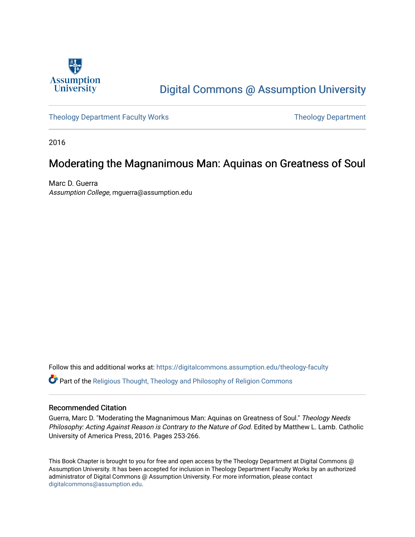

# [Digital Commons @ Assumption University](https://digitalcommons.assumption.edu/)

[Theology Department Faculty Works](https://digitalcommons.assumption.edu/theology-faculty) Theology Department

2016

### Moderating the Magnanimous Man: Aquinas on Greatness of Soul

Marc D. Guerra Assumption College, mguerra@assumption.edu

Follow this and additional works at: [https://digitalcommons.assumption.edu/theology-faculty](https://digitalcommons.assumption.edu/theology-faculty?utm_source=digitalcommons.assumption.edu%2Ftheology-faculty%2F9&utm_medium=PDF&utm_campaign=PDFCoverPages)  Part of the [Religious Thought, Theology and Philosophy of Religion Commons](http://network.bepress.com/hgg/discipline/544?utm_source=digitalcommons.assumption.edu%2Ftheology-faculty%2F9&utm_medium=PDF&utm_campaign=PDFCoverPages) 

### Recommended Citation

Guerra, Marc D. "Moderating the Magnanimous Man: Aquinas on Greatness of Soul." Theology Needs Philosophy: Acting Against Reason is Contrary to the Nature of God. Edited by Matthew L. Lamb. Catholic University of America Press, 2016. Pages 253-266.

This Book Chapter is brought to you for free and open access by the Theology Department at Digital Commons @ Assumption University. It has been accepted for inclusion in Theology Department Faculty Works by an authorized administrator of Digital Commons @ Assumption University. For more information, please contact [digitalcommons@assumption.edu](mailto:digitalcommons@assumption.edu).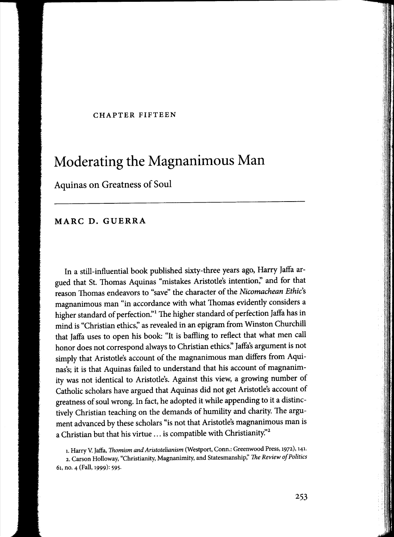#### CHAPTER FIFTEEN

## Moderating the Magnanimous Man

Aquinas on Greatness of Soul

#### MARC D. GUERRA

In a still-influential book published sixty-three years ago, Harry Jaffa argued that St. Thomas Aquinas "mistakes Aristotle's intention," and for that reason Thomas endeavors to "save" the character of the *Nicomachean Ethic's*  magnanimous man "in accordance with what Thomas evidently considers a higher standard of perfection."<sup>1</sup> The higher standard of perfection Jaffa has in mind is "Christian ethics," as revealed in an epigram from Winston Churchill that Jaffa uses to open his book: "It is baffling to reflect that what men call honor does not correspond always to Christian ethics:' Jaffa's argument is not simply that Aristotle's account of the magnanimous man differs from Aquinas's; it is that Aquinas failed to understand that his account of magnanimity was not identical to Aristotle's. Against this view, a growing number of Catholic scholars have argued that Aquinas did not get Aristotle's account of greatness of soul wrong. In fact, he adopted it while appending to it a distinctively Christian teaching on the demands of humility and charity. The argument advanced by these scholars "is not that Aristotle's magnanimous man is a Christian but that his virtue ... is compatible with Christianity."<sup>2</sup>

i. Harry V. Jaffa, *Thomism and Aristotelianism* (Westport, Conn.: Greenwood Press, 1972), 141.

2. Carson Holloway, "Christianity, Magnanimity, and Statesmanship:' *The Review of Politics*  61, no. 4 (Fall, 1999): 595.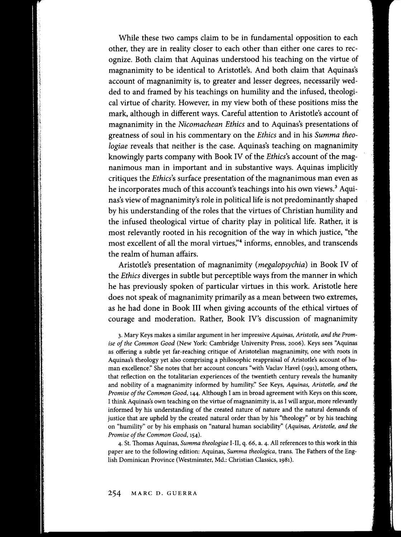While these two camps claim to be in fundamental opposition to each other, they are in reality closer to each other than either one cares to recognize. Both claim that Aquinas understood his teaching on the virtue of magnanimity to be identical to Aristotle's. And both claim that Aquinas's account of magnanimity is, to greater and lesser degrees, necessarily wedded to and framed by his teachings on humility and the infused, theological virtue of charity. However, in my view both of these positions miss the mark, although in different ways. Careful attention to Aristotle's account of magnanimity in the *Nicomachean Ethics* and to Aquinas's presentations of greatness of soul in his commentary on the *Ethics* and in his *Summa theologiae* reveals that neither is the case. Aquinas's teaching on magnanimity knowingly parts company with Book IV of the *Ethics's* account of the magnanimous man in important and in substantive ways. Aquinas implicitly critiques the *Ethics's* surface presentation of the magnanimous man even as he incorporates much of this account's teachings into his own views.<sup>3</sup> Aquinas's view of magnanimity's role in political life is not predominantly shaped by his understanding of the roles that the virtues of Christian humility and the infused theological virtue of charity play in political life. Rather, it is most relevantly rooted in his recognition of the way in which justice, "the most excellent of all the moral virtues,"<sup>4</sup> informs, ennobles, and transcends the realm of human affairs.

Aristotle's presentation of magnanimity *(megalopsychia)* in Book IV of the *Ethics* diverges in subtle but perceptible ways from the manner in which he has previously spoken of particular virtues in this work. Aristotle here does not speak of magnanimity primarily as a mean between two extremes, as he had done in Book III when giving accounts of the ethical virtues of courage and moderation. Rather, Book IV's discussion of magnanimity

3. Mary Keys makes a similar argument in her impressive *Aquinas, Aristotle, and the Promise of the Common Good* (New York: Cambridge University Press, 2006). Keys sees ''Aquinas as offering a subtle yet far-reaching critique of Aristotelian magnanimity, one with roots in Aquinas's theology yet also comprising a philosophic reappraisal of Aristotle's account of human excellence:' She notes that her account concurs "with Vaclav Havel (1991), among others, that reflection on the totalitarian experiences of the twentieth century reveals the humanity and nobility of a magnanimity informed by humility:' See Keys, *Aquinas, Aristotle, and the Promise of the Common Good,* 144. Although I am in broad agreement with Keys on this score, I think Aquinas's own teaching on the virtue of magnanimity is, as I will argue, more relevantly informed by his understanding of the created nature of nature and the natural demands of justice that are upheld by the created natural order than by his "theology" or by his teaching on "humility" or by his emphasis on "natural human sociability" *(Aquinas, Aristotle, and the Promise of the Common Good,* 154).

4. St. Thomas Aquinas, *Summa theologiae* I-II, q. 66, a. 4. All references to this work in this paper are to the following edition: Aquinas, *Summa theologica,* trans. The Fathers of the English Dominican Province (Westminster, Md.: Christian Classics, 1981).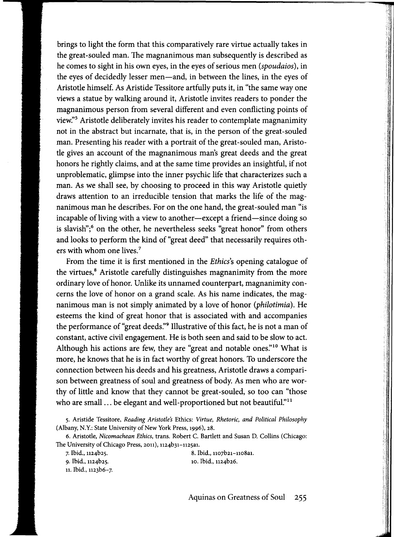brings to light the form that this comparatively rare virtue actually takes in the great-souled man. The magnanimous man subsequently is described as he comes to sight in his own eyes, in the eyes of serious men *(spoudaios),* in the eyes of decidedly lesser men-and, in between the lines, in the eyes of Aristotle himself. As Aristide Tessitore artfully puts it, in "the same way one views a statue by walking around it, Aristotle invites readers to ponder the magnanimous person from several different and even conflicting points of view:'<sup>5</sup>Aristotle deliberately invites his reader to contemplate magnanimity not in the abstract but incarnate, that is, in the person of the great-souled man. Presenting his reader with a portrait of the great-souled man, Aristotle gives an account of the magnanimous man's great deeds and the great honors he rightly claims, and at the same time provides an insightful, if not unproblematic, glimpse into the inner psychic life that characterizes such a man. As we shall see, by choosing to proceed in this way Aristotle quietly draws attention to an irreducible tension that marks the life of the magnanimous man he describes. For on the one hand, the great-souled man "is incapable of living with a view to another-except a friend-since doing so is slavish";<sup>6</sup> on the other, he nevertheless seeks "great honor" from others and looks to perform the kind of "great deed" that necessarily requires others with whom one lives.<sup>7</sup>

From the time it is first mentioned in the *Ethics's* opening catalogue of the virtues,<sup>8</sup> Aristotle carefully distinguishes magnanimity from the more ordinary love of honor. Unlike its unnamed counterpart, magnanimity concerns the love of honor on a grand scale. As his name indicates, the magnanimous man is not simply animated by a love of honor *(philotimia).* He esteems the kind of great honor that is associated with and accompanies the performance of "great deeds:'9 Illustrative of this fact, he is not a man of constant, active civil engagement. He is both seen and said to be slow to act. Although his actions are few, they are "great and notable ones."<sup>10</sup> What is more, he knows that he is in fact worthy of great honors. To underscore the connection between his deeds and his greatness, Aristotle draws a comparison between greatness of soul and greatness of body. As men who are worthy of little and know that they cannot be great-souled, so too can "those who are small ... be elegant and well-proportioned but not beautiful."<sup>11</sup>

5. Aristide Tessitore, *Reading Aristotle's* Ethics: *Virtue, Rhetoric, and Political Philosophy*  (Albany, N.Y.: State University of New York Press, 1996), 28.

6. Aristotle, *Nicomachean Ethics,* trans. Robert C. Bartlett and Susan D. Collins (Chicago: The University of Chicago Press, 2011), 1124b31-1125ai.

9. Ibid., 1124b25. 10. Ibid., 1124b26.

11. Ibid., 1123b6-7.

7. Ibid., 1124b25. 8. Ibid., 1107b21-1108ai.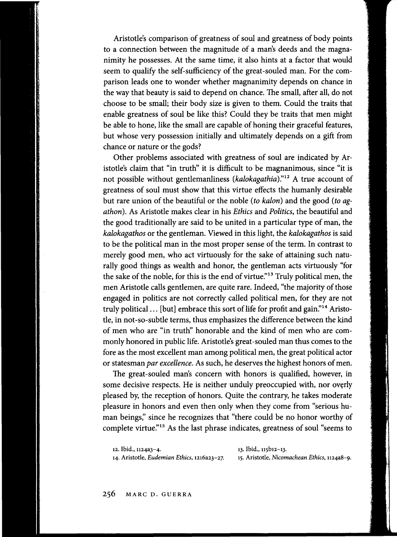Aristotle's comparison of greatness of soul and greatness of body points to a connection between the magnitude of a man's deeds and the magnanimity he possesses. At the same time, it also hints at a factor that would seem to qualify the self-sufficiency of the great-souled man. For the comparison leads one to wonder whether magnanimity depends on chance in the way that beauty is said to depend on chance. The small, after all, do not choose to be small; their body size is given to them. Could the traits that enable greatness of soul be like this? Could they be traits that men might be able to hone, like the small are capable of honing their graceful features, but whose very possession initially and ultimately depends on a gift from chance or nature or the gods?

Other problems associated with greatness of soul are indicated by Aristotle's claim that "in truth" it is difficult to be magnanimous, since "it is not possible without gentlemanliness (kalokagathia)."<sup>12</sup> A true account of greatness of soul must show that this virtue effects the humanly desirable but rare union of the beautiful or the noble *(to kalon)* and the good *(to agathon).* As Aristotle makes clear in his *Ethics* and *Politics,* the beautiful and the good traditionally are said to be united in a particular type of man, the *kalokagathos* or the gentleman. Viewed in this light, the *kalokagathos* is said to be the political man in the most proper sense of the term. In contrast to merely good men, who act virtuously for the sake of attaining such naturally good things as wealth and honor, the gentleman acts virtuously "for the sake of the noble, for this is the end of virtue."<sup>13</sup> Truly political men, the men Aristotle calls gentlemen, are quite rare. Indeed, "the majority of those engaged in politics are not correctly called political men, for they are not truly political  $\ldots$  [but] embrace this sort of life for profit and gain."<sup>14</sup> Aristotle, in not-so-subtle terms, thus emphasizes the difference between the kind of men who are "in truth" honorable and the kind of men who are commonly honored in public life. Aristotle's great-souled man thus comes to the fore as the most excellent man among political men, the great political actor or statesman *par excellence.* As such, he deserves the highest honors of men.

The great-souled man's concern with honors is qualified, however, in some decisive respects. He is neither unduly preoccupied with, nor overly pleased by, the reception of honors. Quite the contrary, he takes moderate pleasure in honors and even then only when they come from "serious human beings," since he recognizes that "there could be no honor worthy of complete virtue."<sup>15</sup> As the last phrase indicates, greatness of soul "seems to

| 12. Ibid., 1124a3–4.                                | 13. Ibid., 115b12-13.                                |
|-----------------------------------------------------|------------------------------------------------------|
| 14. Aristotle, <i>Eudemian Ethics</i> , 1216a23–27. | 15. Aristotle, <i>Nicomachean Ethics</i> , 1124a8–9. |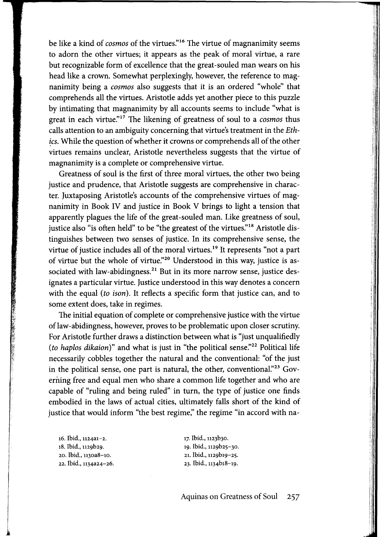be like a kind of *cosmos* of the virtues."<sup>16</sup> The virtue of magnanimity seems to adorn the other virtues; it appears as the peak of moral virtue, a rare but recognizable form of excellence that the great-souled man wears on his head like a crown. Somewhat perplexingly, however, the reference to magnanimity being a *cosmos* also suggests that it is an ordered "whole" that comprehends all the virtues. Aristotle adds yet another piece to this puzzle by intimating that magnanimity by all accounts seems to include "what is great in each virtue.<sup>"17</sup> The likening of greatness of soul to a *cosmos* thus calls attention to an ambiguity concerning that virtue's treatment in the *Eth* ics. While the question of whether it crowns or comprehends all of the other virtues remains unclear, Aristotle nevertheless suggests that the virtue of magnanimity is a complete or comprehensive virtue.

Greatness of soul is the first of three moral virtues, the other two being justice and prudence, that Aristotle suggests are comprehensive in character. Juxtaposing Aristotle's accounts of the comprehensive virtues of magnanimity in Book IV and justice in Book V brings to light a tension that apparently plagues the life of the great-souled man. Like greatness of soul, justice also "is often held" to be "the greatest of the virtues."<sup>18</sup> Aristotle distinguishes between two senses of justice. In its comprehensive sense, the virtue of justice includes all of the moral virtues.<sup>19</sup> It represents "not a part of virtue but the whole of virtue."<sup>20</sup> Understood in this way, justice is associated with law-abidingness.<sup>21</sup> But in its more narrow sense, justice designates a particular virtue. Justice understood in this way denotes a concern with the equal *(to ison).* It reflects a specific form that justice can, and to some extent does, take in regimes.

The initial equation of complete or comprehensive justice with the virtue oflaw-abidingness, however, proves to be problematic upon closer scrutiny. For Aristotle further draws a distinction between what is "just unqualifiedly (to haplos dikaion)" and what is just in "the political sense."<sup>22</sup> Political life necessarily cobbles together the natural and the conventional: "of the just in the political sense, one part is natural, the other, conventional."<sup>23</sup> Governing free and equal men who share a common life together and who are capable of "ruling and being ruled" in turn, the type of justice one finds embodied in the laws of actual cities, ultimately falls short of the kind of justice that would inform "the best regime," the regime "in accord with na-

16. Ibid., 1124a1-2. 18. Ibid., 1129b29. 20. Ibid., 113oa8-10. 22. Ibid., 1134a24-26.

 $\overline{ }$ 

*l* 

17· Ibid., 1123b30. 19. Ibid., 1129b25-30. 21. Ibid., 1129b19-25. 23. Ibid., 1134b18-19.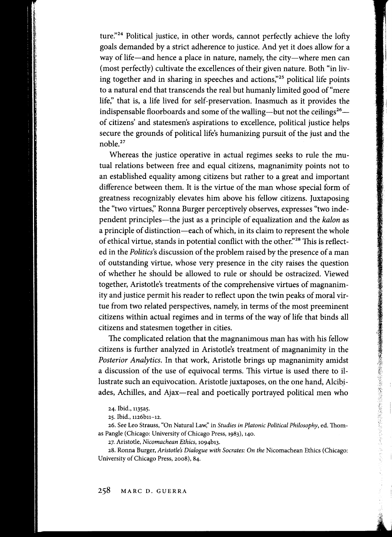ture."<sup>24</sup> Political justice, in other words, cannot perfectly achieve the lofty goals demanded by a strict adherence to justice. And yet it does allow for a way of life-and hence a place in nature, namely, the city-where men can (most perfectly) cultivate the excellences of their given nature. Both "in living together and in sharing in speeches and actions,"<sup>25</sup> political life points to a natural end that transcends the real but humanly limited good of "mere life," that is, a life lived for self-preservation. Inasmuch as it provides the indispensable floorboards and some of the walling—but not the ceilings<sup>26</sup> of citizens' and statesmen's aspirations to excellence, political justice helps secure the grounds of political life's humanizing pursuit of the just and the noble. <sup>27</sup>

I .1

● ののことを、そのことを、このことを、このことを、このことを、このことを、このことを、このことを、このことを、このことを、このことを、このことを、このことを、このことを、このことを、このことを、このことを、このことを、このことを、このことを、このことを、このことを、このことを、

Whereas the justice operative in actual regimes seeks to rule the mutual relations between free and equal citizens, magnanimity points not to an established equality among citizens but rather to a great and important difference between them. It is the virtue of the man whose special form of greatness recognizably elevates him above his fellow citizens. Juxtaposing the "two virtues," Ronna Burger perceptively observes, expresses "two independent principles-the just as a principle of equalization and the *kalon* as a principle of distinction—each of which, in its claim to represent the whole of ethical virtue, stands in potential conflict with the other:'28 This is reflected in the *Politics's* discussion of the problem raised by the presence of a man of outstanding virtue, whose very presence in the city raises the question of whether he should be allowed to rule or should be ostracized. Viewed together, Aristotle's treatments of the comprehensive virtues of magnanimity and justice permit his reader to reflect upon the twin peaks of moral virtue from two related perspectives, namely, in terms of the most preeminent citizens within actual regimes and in terms of the way of life that binds all citizens and statesmen together in cities.

The complicated relation that the magnanimous man has with his fellow citizens is further analyzed in Aristotle's treatment of magnanimity in the *Posterior Analytics.* In that work, Aristotle brings up magnanimity amidst a discussion of the use of equivocal terms. This virtue is used there to illustrate such an equivocation. Aristotle juxtaposes, on the one hand, Alcibiades, Achilles, and Ajax-real and poetically portrayed political men who

26. See Leo Strauss, "On Natural Law;' in *Studies in Platonic Political Philosophy,* ed. Thomas Pangle (Chicago: University of Chicago Press, 1983), 140.

27. Aristotle, *Nicomachean Ethics,* 1094b13.

28. Ronna Burger, *Aristotle's Dialogue with Socrates: On the* Nicomachean Ethics (Chicago: University of Chicago Press, 2008), 84.

<sup>24.</sup> Ibid., 1135a5.

<sup>25.</sup> Ibid., 1126b11-12.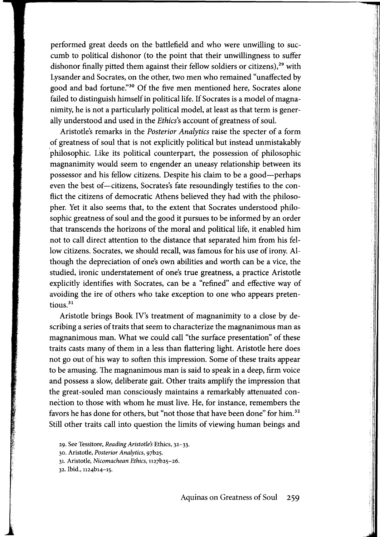performed great deeds on the battlefield and who were unwilling to succumb to political dishonor (to the point that their unwillingness to suffer dishonor finally pitted them against their fellow soldiers or citizens), $29$  with Lysander and Socrates, on the other, two men who remained "unaffected by good and bad fortune."<sup>30</sup> Of the five men mentioned here, Socrates alone failed to distinguish himself in political life. If Socrates is a model of magnanimity, he is not a particularly political model, at least as that term is generally understood and used in the *Ethics's* account of greatness of soul.

Aristotle's remarks in the *Posterior Analytics* raise the specter of a form of greatness of soul that is not explicitly political but instead unmistakably 'philosophic. Like its political counterpart, the possession of philosophic magnanimity would seem to engender an uneasy relationship between its possessor and his fellow citizens. Despite his claim to be a good-perhaps even the best of-citizens, Socrates's fate resoundingly testifies to the conflict the citizens of democratic Athens believed they had with the philosopher. Yet it also seems that, to the extent that Socrates understood philosophic greatness of soul and the good it pursues to be informed by an order that transcends the horizons of the moral and political life, it enabled him not to call direct attention to the distance that separated him from his fellow citizens. Socrates, we should recall, was famous for his use of irony. Although the depreciation of one's own abilities and worth can be a vice, the studied, ironic understatement of one's true greatness, a practice Aristotle explicitly identifies with Socrates, can be a "refined" and effective way of avoiding the ire of others who take exception to one who appears pretentious. 31

Aristotle brings Book IV's treatment of magnanimity to a close by describing a series of traits that seem to characterize the magnanimous man as magnanimous man. What we could call "the surface presentation" of these traits casts many of them in a less than flattering light. Aristotle here does not go out of his way to soften this impression. Some of these traits appear to be amusing. The magnanimous man is said to speak in a deep, firm voice and possess a slow, deliberate gait. Other traits amplify the impression that the great-souled man consciously maintains a remarkably attenuated connection to those with whom he must live. He, for instance, remembers the favors he has done for others, but "not those that have been done" for him. 32 Still other traits call into question the limits of viewing human beings and

<sup>29.</sup> See Tessitore, *Reading Aristotle's* Ethics, 32-33.

<sup>30.</sup> Aristotle, *Posterior Analytics,* 97b25.

<sup>3</sup>i. Aristotle, *Nicomachean Ethics,* u27b25-26.

<sup>32.</sup> Ibid., u24b14-15.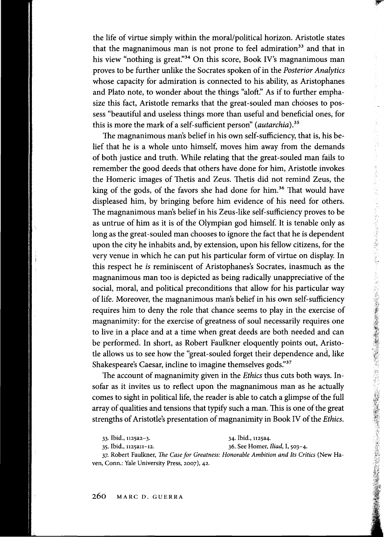the life of virtue simply within the moral/political horizon. Aristotle states that the magnanimous man is not prone to feel admiration<sup>33</sup> and that in his view "nothing is great."<sup>34</sup> On this score, Book IV's magnanimous man proves to be further unlike the Socrates spoken of in the *Posterior Analytics*  whose capacity for admiration is connected to his ability, as Aristophanes and Plato note, to wonder about the things "aloft." As if to further emphasize this fact, Aristotle remarks that the great-souled man chooses to possess "beautiful and useless things more than useful and beneficial ones, for this is more the mark of a self-sufficient person" *(autarchia). <sup>35</sup>*

The magnanimous man's belief in his own self-sufficiency, that is, his belief that he is a whole unto himself, moves him away from the demands of both justice and truth. While relating that the great-souled man fails to remember the good deeds that others have done for him, Aristotle invokes the Homeric images of Thetis and Zeus. Thetis did not remind Zeus, the king of the gods, of the favors she had done for him.<sup>36</sup> That would have displeased him, by bringing before him evidence of his need for others. The magnanimous man's belief in his Zeus-like self-sufficiency proves to be as untrue of him as it is of the Olympian god himself. It is tenable only as long as the great-souled man chooses to ignore the fact that he is dependent upon the city he inhabits and, by extension, upon his fellow citizens, for the very venue in which he can put his particular form of virtue on display. In this respect he *is* reminiscent of Aristophanes's Socrates, inasmuch as the magnanimous man too is depicted as being radically unappreciative of the social, moral, and political preconditions that allow for his particular way of life. Moreover, the magnanimous man's belief in his own self-sufficiency requires him to deny the role that chance seems to play in the exercise of magnanimity: for the exercise of greatness of soul necessarily requires one to live in a place and at a time when great deeds are both needed and can be performed. In short, as Robert Faulkner eloquently points out, Aristotle allows us to see how the "great-souled forget their dependence and, like Shakespeare's Caesar, incline to imagine themselves gods."<sup>37</sup>

The account of magnanimity given in the *Ethics* thus cuts both ways. Insofar as it invites us to reflect upon the magnanimous man as he actually comes to sight in political life, the reader is able to catch a glimpse of the full array of qualities and tensions that typify such a man. This is one of the great strengths of Aristotle's presentation of magnanimity in Book IV of the *Ethics.* 

35. Ibid., 1125a11-12. 36. See Homer, *Iliad,* I, 503-4.

37. Robert Faulkner, The *Case for Greatness: Honorable Ambition and Its Critics* (New Haven, Conn.: Yale University Press, 2007), 42.

<sup>33.</sup> Ibid., 1125a2-3. 34. Ibid., 1125a4.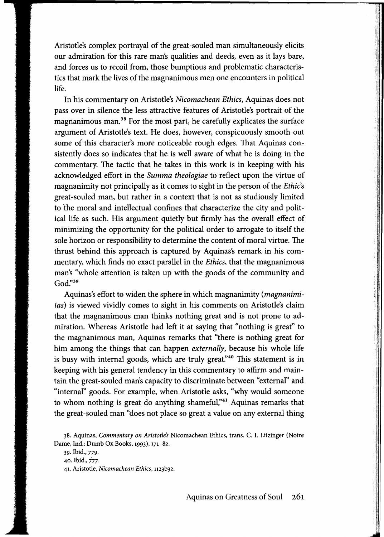Aristotle's complex portrayal of the great-souled man simultaneously elicits our admiration for this rare man's qualities and deeds, even as it lays bare, and forces us to recoil from, those bumptious and problematic characteristics that mark the lives of the magnanimous men one encounters in political life.

In his commentary on Aristotle's *Nicomachean Ethics,* Aquinas does not pass over in silence the less attractive features of Aristotle's portrait of the magnanimous man.<sup>38</sup> For the most part, he carefully explicates the surface argument of Aristotle's text. He does, however, conspicuously smooth out some of this character's more noticeable rough edges. That Aquinas consistently does so indicates that he is well aware of what he is doing in the commentary. The tactic that he takes in this work is in keeping with his acknowledged effort in the *Summa theologiae* to reflect upon the virtue of magnanimity not principally as it comes to sight in the person of the *Ethic's*  great-souled man, but rather in a context that is not as studiously limited to 'the moral and intellectual confines that characterize the city and political life as such. His argument quietly but firmly has the overall effect of minimizing the opportunity for the political order to arrogate to itself the sole horizon or responsibility to determine the content of moral virtue. The thrust behind this approach is captured by Aquinas's remark in his commentary, which finds no exact parallel in the *Ethics,* that the magnanimous man's "whole attention is taken up with the goods of the community and  $God."39$ 

Aquinas's effort to widen the sphere in which magnanimity *(magnanimitas)* is viewed vividly comes to sight in his comments on Aristotle's claim that the magnanimous man thinks nothing great and is not prone to admiration. Whereas Aristotle had left it at saying that "nothing is great" to the magnanimous man, Aquinas remarks that "there is nothing great for him among the things that can happen *externally,* because his whole life is busy with internal goods, which are truly great."<sup>40</sup> This statement is in keeping with his general tendency in this commentary to affirm and maintain the great-souled man's capacity to discriminate between "external" and "internal" goods. For example, when Aristotle asks, "why would someone to whom nothing is great do anything shameful,"<sup>41</sup> Aquinas remarks that the great-souled man "does not place so great a value on any external thing

: i

 $\cdot$ 

<sup>38.</sup> Aquinas, *Commentary on Aristotle's* Nicomachean Ethics, trans. C. I. Litzinger (Notre Dame, Ind.: Dumb Ox Books, 1993), 171-82.

<sup>39.</sup> Ibid., 779.

<sup>40.</sup> Ibid.,  $777$ .

<sup>41.</sup> Aristotle, *Nicomachean Ethics,* 1123b32.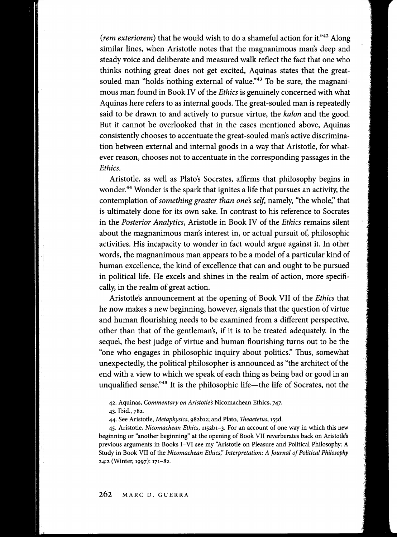*(rem exteriorem)* that he would wish to do a shameful action for it."<sup>42</sup> Along similar lines, when Aristotle notes that the magnanimous man's deep and steady voice and deliberate and measured walk reflect the fact that one who thinks nothing great does not get excited, Aquinas states that the greatsouled man "holds nothing external of value."<sup>43</sup> To be sure, the magnanimous man found in Book IV of the *Ethics* is genuinely concerned with what Aquinas here refers to as internal goods. The great-souled man is repeatedly said to be drawn to and actively to pursue virtue, the *kalon* and the good. But it cannot be overlooked that in the cases mentioned above, Aquinas consistently chooses to accentuate the great-souled man's active discrimination between external and internal goods in a way that Aristotle, for whatever reason, chooses not to accentuate in the corresponding passages in the *Ethics.* 

Aristotle, as well as Plato's Socrates, affirms that philosophy begins in wonder.<sup>44</sup> Wonder is the spark that ignites a life that pursues an activity, the contemplation of *something greater than one's self*, namely, "the whole," that is ultimately done for its own sake. In contrast to his reference to Socrates in the *Posterior Analytics,* Aristotle in Book IV of the *Ethics* remains silent about the magnanimous man's interest in, or actual pursuit of, philosophic activities. His incapacity to wonder in fact would argue against it. In other words, the magnanimous man appears to be a model of a particular kind of human excellence, the kind of excellence that can and ought to be pursued in political life. He excels and shines in the realm of action, more specifically, in the realm of great action.

Aristotle's announcement at the opening of Book VII of the *Ethics* that he now makes a new beginning, however, signals that the question of virtue and human flourishing needs to be examined from a different perspective, other than that of the gentleman's, if it is to be treated adequately. In the sequel, the best judge of virtue and human flourishing turns out to be the "one who engages in philosophic inquiry about politics:' Thus, somewhat unexpectedly, the political philosopher is announced as "the architect of the end with a view to which we speak of each thing as being bad or good in an unqualified sense."<sup>45</sup> It is the philosophic life-the life of Socrates, not the

42. Aquinas, *Commentary on Aristotle's* Nicomachean Ethics, 747.

43. Ibid., 782.

44. See Aristotle, *Metaphysics,* 982b12; and Plato, *Theaetetus,* 155d.

45. Aristotle, *Nicomachean Ethics,* 1152b1-3. For an account of one way in which this new beginning or "another beginning" at the opening of Book VII reverberates back on Aristotle's previous arguments in Books I-VI see my "Aristotle on Pleasure and Political Philosophy: A Study in Book VII of the *Nicomachean Ethics;' Interpretation: A Journal of Political Philosophy*  24:2 (Winter, 1997): 171-82.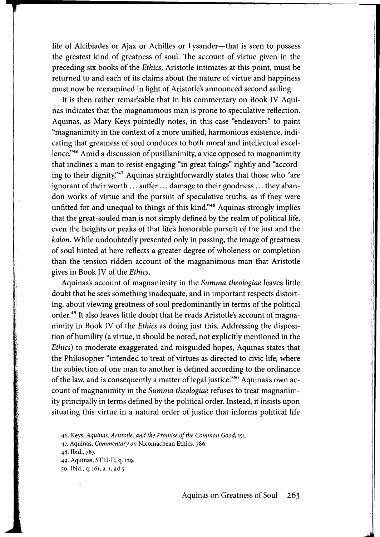life of Alcibiades or Ajax or Achilles or Lysander-that is seen to possess the greatest kind of greatness of soul. The account of virtue given in the preceding six books of the *Ethics,* Aristotle intimates at this point, must be returned to and each of its claims about the nature of virtue and happiness must now be reexamined in light of Aristotle's announced second sailing.

It is then rather remarkable that in his commentary on Book IV Aquinas indicates that the magnanimous man is prone to speculative reflection. Aquinas, as Mary Keys pointedly notes, in this case "endeavors" to paint "magnanimity in the context of a more unified, harmonious existence, indicating that greatness of soul conduces to both moral and intellectual excellence."46 Amid a discussion of pusillanimity, a vice opposed to magnanimity that inclines a man to resist engaging "in great things" rightly and "according to their dignity,"<sup>47</sup> Aquinas straightforwardly states that those who "are ignorant of their worth ... suffer ... damage to their goodness ... they abandon works of virtue and the pursuit of speculative truths, as if they were unfitted for and unequal to things of this kind."<sup>48</sup> Aquinas strongly implies that the great-souled man is not simply defined by the realm of political life, even the heights or peaks of that life's honorable pursuit of the just and the *kalon.* While undoubtedly presented only in passing, the image of greatness of soul hinted at here reflects a greater degree of wholeness or completion than the tension-ridden account of the magnanimous man that Aristotle gives in Book IV of the *Ethics.* 

Aquinas's account of magnanimity in the *Summa theologiae* leaves little doubt that he sees something inadequate, and in important respects distorting, about viewing greatness of soul predominantly in terms of the political order.<sup>49</sup> It also leaves little doubt that he reads Aristotle's account of magnanimity in Book IV of the *Ethics* as doing just this. Addressing the disposition of humility (a virtue, it should be noted, not explicitly mentioned in the *Ethics)* to moderate exaggerated and misguided hopes, Aquinas states that the Philosopher "intended to treat of virtues as directed to civic life, where the subjection of one man to another is defined according to the ordinance of the law, and is consequently a matter of legal justice."<sup>50</sup> Aquinas's own account of magnanimity in the *Summa theologiae* refuses to treat magnanimity principally in terms defined by the political order. Instead, it insists upon situating this virtue in a natural order of justice that informs political life

<sup>46.</sup> Keys, *Aquinas, Aristotle, and the Promise of the Common Good,* 151.

<sup>47.</sup> Aquinas, *Commentary on* Nicomachean Ethics, 786.

<sup>48.</sup> Ibid., 787.

<sup>49.</sup> Aquinas, ST II-II, q. 129.

<sup>50.</sup> Ibid., q. 161, a. 1, ad 5.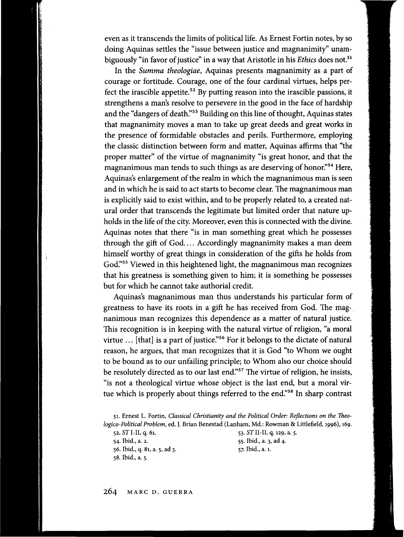even as it transcends the limits of political life. As Ernest Fortin notes, by so doing Aquinas settles the "issue between justice and magnanimity" unambiguously "in favor of justice" in a way that Aristotle in his *Ethics* does not. 51

In the *Summa theologiae,* Aquinas presents magnanimity as a part of courage or fortitude. Courage, one of the four cardinal virtues, helps perfect the irascible appetite.<sup>52</sup> By putting reason into the irascible passions, it strengthens a man's resolve to persevere in the good in the face of hardship and the "dangers of death."<sup>53</sup> Building on this line of thought, Aquinas states that magnanimity moves a man to take up great deeds and great works in the presence of formidable obstacles and perils. Furthermore, employing the classic distinction between form and matter, Aquinas affirms that "the proper matter" of the virtue of magnanimity "is great honor, and that the magnanimous man tends to such things as are deserving of honor."<sup>54</sup> Here, Aquinas's enlargement of the realm in which the magnanimous man is seen and in which he is said to act starts to become clear. The magnanimous man is explicitly said to exist within, and to be properly related to, a created natural order that transcends the legitimate but limited order that nature upholds in the life of the city. Moreover, even this is connected with the divine. Aquinas notes that there "is in man something great which he possesses through the gift of God.... Accordingly magnanimity makes a man deem himself worthy of great things in consideration of the gifts he holds from *God:'<sup>55</sup>*Viewed in this heightened light, the magnanimous man recognizes that his greatness is something given to him; it is something he possesses but for which he cannot take authorial credit.

Aquinas's magnanimous man thus understands his particular form of greatness to have its roots in a gift he has received from God. The magnanimous man recognizes this dependence as a matter of natural justice. This recognition is in keeping with the natural virtue of religion, "a moral virtue ... [that] is a part of justice."<sup>56</sup> For it belongs to the dictate of natural reason, he argues, that man recognizes that it is God "to Whom we ought to be bound as to our unfailing principle; to Whom also our choice should be resolutely directed as to our last end."<sup>57</sup> The virtue of religion, he insists, "is not a theological virtue whose object is the last end, but a moral virtue which is properly about things referred to the end."<sup>58</sup> In sharp contrast

54. Ibid., a. 2. 55. Ibid., a. 3, ad 4. 56. Ibid., q. 81, a. 5, ad 3. 57. Ibid., a. i.

58. Ibid., a. 5.

<sup>51.</sup> Ernest L. Fortin, *Classical Christianity and the Political Order: Reflections on the 1heologico-Political Problem,* ed. J. Brian Benestad (Lanham, Md.: Rowman & Littlefield, 1996), 169.

<sup>52.</sup> STl-11, q. 61. 53. *ST* 11-11, q. 129, a. 5.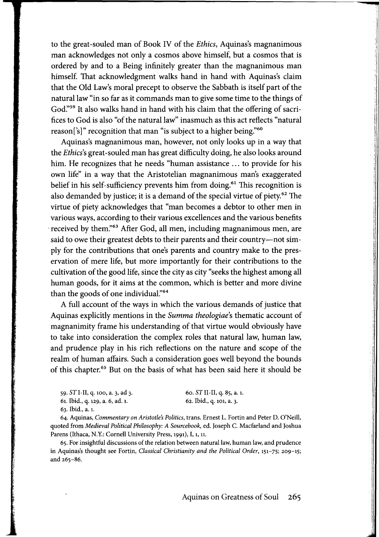to the great-souled man of Book IV of the *Ethics,* Aquinas's magnanimous man acknowledges not only a cosmos above himself, but a cosmos that is ordered by and to a Being infinitely greater than the magnanimous man himself. That acknowledgment walks hand in hand with Aquinas's claim that the Old Law's moral precept to observe the Sabbath is itself part of the natural law "in so far as it commands man to give some time to the things of God."<sup>59</sup> It also walks hand in hand with his claim that the offering of sacrifices to God is also "of the natural law" inasmuch as this act reflects "natural reason<sup>['s]"</sup> recognition that man "is subject to a higher being."<sup>60</sup>

Aquinas's magnanimous man, however, not only looks up in a way that the *Ethics's* great-souled man has great difficulty doing, he also looks around him. He recognizes that he needs "human assistance ... to provide for his own life" in a way that the Aristotelian magnanimous man's exaggerated belief in his self-sufficiency prevents him from doing.<sup>61</sup> This recognition is also demanded by justice; it is a demand of the special virtue of piety.<sup>62</sup> The virtue of piety acknowledges that "man becomes a debtor to other men in various ways, according to their various excellences and the various benefits received by them."<sup>63</sup> After God, all men, including magnanimous men, are said to owe their greatest debts to their parents and their country-not simply for the contributions that one's parents and country make to the preservation of mere life, but more importantly for their contributions to the cultivation of the good life, since the city as city "seeks the highest among all human goods, for it aims at the common, which is better and more divine than the goods of one individual."<sup>64</sup>

A full account of the ways in which the various demands of justice that Aquinas explicitly mentions in the *Summa theologiae's* thematic account of magnanimity frame his understanding of that virtue would obviously have to take into consideration the complex roles that natural law, human law, and prudence play in his rich reflections on the nature and scope of the realm of human affairs. Such a consideration goes well beyond the bounds of this chapter.<sup>65</sup> But on the basis of what has been said here it should be

| 59. ST I-II, q. 100, a. 3, ad 3. | 60. ST II-II, q. 85, a. 1. |
|----------------------------------|----------------------------|
| 61. Ibid., q. 129, a. 6, ad. 1.  | 62. Ibid., q. 101, a. 3.   |
| 63. Ibid., a. 1.                 |                            |

64. Aquinas, *Commentary on Aristotle's Politics,* trans. Ernest L. Fortin and Peter D. O'Neill, quoted from *Medieval Political Philosophy: A Sourcebook,* ed. Joseph C. Macfarland and Joshua Parens (Ithaca, N.Y.: Cornell University Press, 1991), I, 1, 11.

65. For insightful discussions of the relation between natural law, human law, and prudence in Aquinas's thought see Fortin, *Classical Christianity and the Political Order,* 151-75; 209-15; and 265-86.